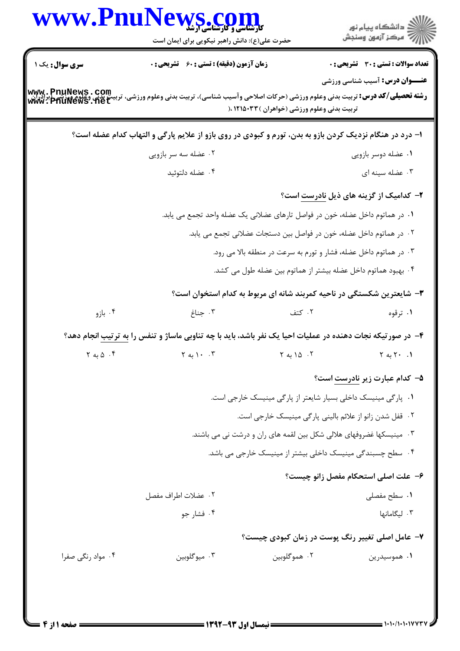|                                 | WWW.PnuNews.com<br>حضرت علی(ع): دانش راهبر نیکویی برای ایمان است                                                                                             |                                                                   | الاد دانشگاه پيام نور<br>الا                    |
|---------------------------------|--------------------------------------------------------------------------------------------------------------------------------------------------------------|-------------------------------------------------------------------|-------------------------------------------------|
| <b>سری سوال :</b> یک ۱          | <b>زمان آزمون (دقیقه) : تستی : 60 ٪ تشریحی : 0</b>                                                                                                           |                                                                   | <b>تعداد سوالات : تستی : 30 ٪ تشریحی : 0</b>    |
|                                 | <b>رشته تحصیلی/کد درس:</b> تربیت بدنی وعلوم ورزشی (حرکات اصلاحی وآسیب شناسی)، تربیت بدنی وعلوم ورزشی، تربیت بدنی وعلوم ورزشی [برادران<br>WWW . PhuNews . het | تربیت بدنی وعلوم ورزشی (خواهران )۱۲۱۵۰۳۳ ،(                       | <b>عنـــوان درس:</b> آسیب شناسی ورزشی           |
|                                 | ا- درد در هنگام نزدیک کردن بازو به بدن، تورم و کبودی در روی بازو از علایم پارگی و التهاب کدام عضله است؟                                                      |                                                                   |                                                 |
|                                 | ۰۲ عضله سه سر بازویی                                                                                                                                         |                                                                   | ۰۱ عضله دوسر بازويي                             |
|                                 | ۰۴ عضله دلتوئيد                                                                                                                                              |                                                                   | ۰۳ عضله سينه ای                                 |
|                                 |                                                                                                                                                              |                                                                   | ۲- کدامیک از گزینه های ذیل <u>نادرست</u> است؟   |
|                                 | ۰۱ در هماتوم داخل عضله، خون در فواصل تارهای عضلانی یک عضله واحد تجمع می یابد.                                                                                |                                                                   |                                                 |
|                                 | ۰۲ در هماتوم داخل عضله، خون در فواصل بین دستجات عضلانی تجمع می یابد.                                                                                         |                                                                   |                                                 |
|                                 |                                                                                                                                                              | ۰۳ در هماتوم داخل عضله، فشار و تورم به سرعت در منطقه بالا می رود. |                                                 |
|                                 |                                                                                                                                                              | ۰۴ بهبود هماتوم داخل عضله بیشتر از هماتوم بین عضله طول می کشد.    |                                                 |
|                                 | ۳- شایعترین شکستگی در ناحیه کمربند شانه ای مربوط به کدام استخوان است؟                                                                                        |                                                                   |                                                 |
| ۰۴ بازو                         | ۰۳ جناغ                                                                                                                                                      | ۰۲ کتف                                                            | ۰۱ ترقوه                                        |
|                                 | ۴– در صورتیکه نجات دهنده در عملیات احیا یک نفر باشد، باید با چه تناوبی ماساژ و تنفس را <u>به ترتیب</u> انجام دهد؟                                            |                                                                   |                                                 |
| $\gamma$ ، $\Delta$ به $\gamma$ | $Y_{\alpha}$ ). $Y$                                                                                                                                          | $Y \triangle 10.7$                                                | $Y \sim Y \cdot \cdot 1$                        |
|                                 |                                                                                                                                                              |                                                                   | <b>۵</b> – کدام عبارت زیر نادر <u>ست</u> است؟   |
|                                 |                                                                                                                                                              | ۰۱ پارگی مینیسک داخلی بسیار شایعتر از پارگی مینیسک خارجی است.     |                                                 |
|                                 |                                                                                                                                                              | ٠٢ قفل شدن زانو از علائم باليني پارگي مينيسک خارجي است.           |                                                 |
|                                 | ۰۳ مینیسکها غضروفهای هلالی شکل بین لقمه های ران و درشت نی می باشند.                                                                                          |                                                                   |                                                 |
|                                 |                                                                                                                                                              | ۰۴ سطح چسبندگی مینیسک داخلی بیشتر از مینیسک خارجی می باشد.        |                                                 |
|                                 |                                                                                                                                                              |                                                                   | ۶- علت اصلی استحکام مفصل زانو چیست؟             |
|                                 | ٠٢ عضلات اطراف مفصل                                                                                                                                          |                                                                   | ٠١. سطح مفصلي                                   |
|                                 | ۰۴ فشار جو                                                                                                                                                   |                                                                   | ٠٣ ليگامانها                                    |
|                                 |                                                                                                                                                              |                                                                   | ۷- عامل اصلی تغییر رنگ پوست در زمان کبودی چیست؟ |
| ۰۴ مواد رنگی صفرا               | ۰۳ میوگلوبین                                                                                                                                                 | ۰۲ هموگلوبين                                                      | ۰۱ هموسیدرین                                    |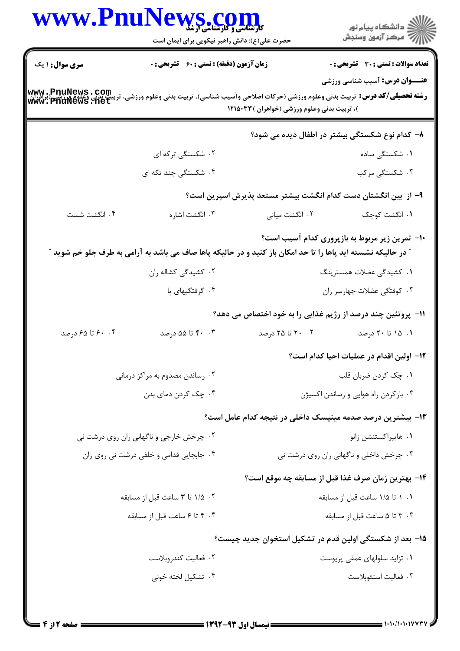|                                         | www.PnuNews.com                                                                                                          |                                              |                                                                                                                                                                                     |  |
|-----------------------------------------|--------------------------------------------------------------------------------------------------------------------------|----------------------------------------------|-------------------------------------------------------------------------------------------------------------------------------------------------------------------------------------|--|
|                                         | حضرت علی(ع): دانش راهبر نیکویی برای ایمان است                                                                            |                                              | ڪ دانشڪاه پيا <sub>م</sub> نور<br>∕ <sup>7</sup> مرڪز آزمون وسنڊش                                                                                                                   |  |
| <b>سری سوال : ۱ یک</b>                  | <b>زمان آزمون (دقیقه) : تستی : 60 ٪ تشریحی : 0</b>                                                                       |                                              | <b>تعداد سوالات : تستی : 30 ٪ تشریحی : 0</b>                                                                                                                                        |  |
|                                         |                                                                                                                          |                                              | <b>عنـــوان درس:</b> آسیب شناسی ورزشی                                                                                                                                               |  |
|                                         |                                                                                                                          | )، تربیت بدنی وعلوم ورزشی (خواهران ) ۱۲۱۵۰۳۳ | <b>رشته تحصیلی/کد درس:</b> تربیت بدنی وعلوم ورزشی (حرکات اصلاحی وآسیب شناسی)، تربیت بدنی وعلوم ورزشی، تربیت بدنی وغلوم ورزشی (براذران<br>WWW . PhuNews . net<br>WWW . PhuNews . net |  |
|                                         |                                                                                                                          |                                              | ۸– کدام نوع شکستگی بیشتر در اطفال دیده می شود؟                                                                                                                                      |  |
|                                         | ۰۲ شکستگی ترکه ای                                                                                                        |                                              | ۰۱ شکستگی ساده                                                                                                                                                                      |  |
|                                         | ۰۴ شکست <i>گی چ</i> ند تکه ای                                                                                            |                                              | ۰۳ شکستگی مرکب                                                                                                                                                                      |  |
|                                         |                                                                                                                          |                                              | ۹– از  بین انگشتان دست کدام انگشت بیشتر مستعد پذیرش اسپرین است؟                                                                                                                     |  |
| ۰۴ انگشت شست                            | ۰۳ انگشت اشاره                                                                                                           | ۰۲ انگشت میانی                               | ٠١ انگشت كوچك                                                                                                                                                                       |  |
|                                         |                                                                                                                          |                                              | ۱۰- تمرین زیر مربوط به بازپروری کدام آسیب است؟                                                                                                                                      |  |
|                                         | " در حالیکه نشسته اید پاها را تا حد امکان باز کنید و در حالیکه پاها صاف می باشد به آرامی به طرف جلو خم شوید <sup>"</sup> |                                              |                                                                                                                                                                                     |  |
|                                         | ۰۲ کشیدگی کشاله ران                                                                                                      |                                              | ۱. کشیدگی عضلات همسترینگ                                                                                                                                                            |  |
|                                         | ۰۴ گرفتگیهای پا                                                                                                          |                                              | ۰۳ کوفتگی عضلات چهارسر ران                                                                                                                                                          |  |
|                                         |                                                                                                                          |                                              | <b>۱۱- پروتئین چند درصد از رژیم غذایی را به خود اختصاص می دهد</b> ؟                                                                                                                 |  |
| ۰. ۶۰ تا ۶۵ درصد                        | ۴۰ . ۴۰ تا ۵۵ درصد                                                                                                       | ۲۰ ۲۰ تا ۲۵ درصد                             | ۰۱ ۱۵ تا ۲۰ درصد                                                                                                                                                                    |  |
|                                         |                                                                                                                          |                                              | 1۲- اولین اقدام در عملیات احیا کدام است؟                                                                                                                                            |  |
|                                         | ۰۲ رساندن مصدوم به مراکز درمانی                                                                                          |                                              | ۰۱ چک کردن ضربان قلب                                                                                                                                                                |  |
| ۰۴ چک کردن دمای بدن                     |                                                                                                                          |                                              | ۰۳ بازکردن راه هوایی و رساندن اکسیژن                                                                                                                                                |  |
|                                         |                                                                                                                          |                                              | ۱۳– بیشترین درصد صدمه مینیسک داخلی در نتیجه کدام عامل است؟                                                                                                                          |  |
| ۰۲ چرخش خارجی و ناگهانی ران روی درشت نی |                                                                                                                          | ۰۱ هايپراكستنشن زانو                         |                                                                                                                                                                                     |  |
| ۰۴ جابجایی قدامی و خلفی درشت نی روی ران |                                                                                                                          |                                              | ۰۳ چرخش داخلی و ناگهانی ران روی درشت نی                                                                                                                                             |  |
|                                         |                                                                                                                          |                                              | ۱۴– بهترین زمان صرف غذا قبل از مسابقه چه موقع است؟                                                                                                                                  |  |
|                                         | ۰۲ ۱/۵ تا ۳ ساعت قبل از مسابقه                                                                                           |                                              | ۰۱ ۱ تا ۱/۵ ساعت قبل از مسابقه                                                                                                                                                      |  |
|                                         | ۰۴ تا ۶ ساعت قبل از مسابقه                                                                                               |                                              | ۰۳ تا ۵ ساعت قبل از مسابقه                                                                                                                                                          |  |
|                                         |                                                                                                                          |                                              | ۱۵– بعد از شکستگی اولین قدم در تشکیل استخوان جدید چیست؟                                                                                                                             |  |
|                                         | ٠٢ فعاليت كندروبلاست                                                                                                     |                                              | ۰۱ تزاید سلولهای عمقی پریوست                                                                                                                                                        |  |
|                                         | ۰۴ تشکیل لخته خونی                                                                                                       |                                              | ۰۳ فعالیت استئوبلاست                                                                                                                                                                |  |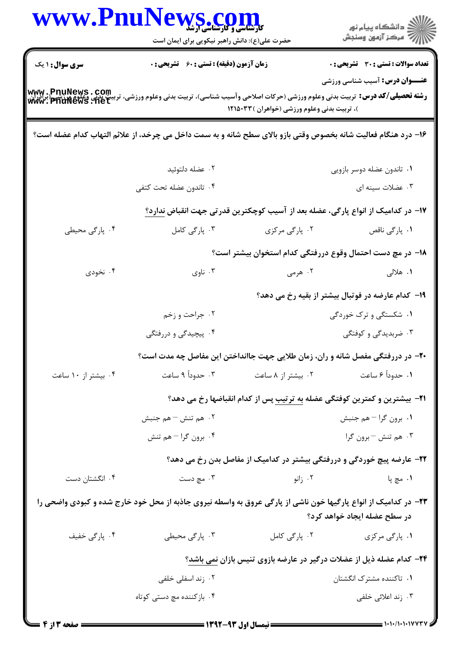|                     | www.PnuNews.com<br>حضرت علی(ع): دانش راهبر نیکویی برای ایمان است                                                                                                                    |                                              | ِ<br>∭ دانشڪاه پيام نور<br>∭ مرڪز آزمون وسنڊش                                       |
|---------------------|-------------------------------------------------------------------------------------------------------------------------------------------------------------------------------------|----------------------------------------------|-------------------------------------------------------------------------------------|
| سری سوال: ۱ یک      | <b>زمان آزمون (دقیقه) : تستی : 60 ٪ تشریحی : 0</b>                                                                                                                                  |                                              | <b>تعداد سوالات : تستی : 30 ٪ تشریحی : 0</b>                                        |
|                     | <b>رشته تحصیلی/کد درس:</b> تربیت بدنی وعلوم ورزشی (حرکات اصلاحی وآسیب شناسی)، تربیت بدنی وعلوم ورزشی، تربیت بدنی وغلوم ورزشی (براذران<br>WWW . PhuNews . Net<br>WWW . PhuNews . Net | )، تربیت بدنی وعلوم ورزشی (خواهران ) ۱۲۱۵۰۳۳ | <b>عنـــوان درس:</b> آسیب شناسی ورزشی                                               |
|                     | ۱۶- درد هنگام فعالیت شانه بخصوص وقتی بازو بالای سطح شانه و به سمت داخل می چرخد، از علائم التهاب کدام عضله است؟                                                                      |                                              |                                                                                     |
|                     | ۰۲ عضله دلتوئيد                                                                                                                                                                     |                                              | ٠١. تاندون عضله دوسر بازويي                                                         |
|                     | ۰۴ تاندون عضله تحت كتفي                                                                                                                                                             |                                              | ۰۳ عضلات سینه ای                                                                    |
|                     |                                                                                                                                                                                     |                                              | ۱۷– در کدامیک از انواع پارگی، عضله بعد از آسیب کوچکترین قدرتی جهت انقباض ندارد؟     |
| ۰۴ پارگی محیطی      | ۰۳ پارگی کامل                                                                                                                                                                       | ۰۲ پارگی مرکزی                               | ۰۱ پارگی ناقص                                                                       |
|                     |                                                                                                                                                                                     |                                              | <b>۱۸</b> – در مچ دست احتمال وقوع دررفتگی کدام استخوان بیشتر است؟                   |
| ۰۴ نخودی            | ۰۳ ناوي                                                                                                                                                                             | ۰۲ هرمی                                      | ۱. هلالی                                                                            |
|                     | ۱۹- کدام عارضه در فوتبال بیشتر از بقیه رخ می دهد؟                                                                                                                                   |                                              |                                                                                     |
|                     | ۰۲ جراحت و زخم                                                                                                                                                                      |                                              | ۰۱ شکستگی و ترک خوردگی                                                              |
|                     | ۴. پیچیدگی و دررفتگی                                                                                                                                                                |                                              | ۰۳ ضربدیدگی و کوفتگی                                                                |
|                     |                                                                                                                                                                                     |                                              | ۲۰- در دررفتگی مفصل شانه و ران، زمان طلایی جهت جاانداختن این مفاصل چه مدت است؟      |
| ۰۴ بیشتر از ۱۰ ساعت |                                                                                                                                                                                     | ۰۲ بیشتر از ۸ ساعت سه ۲۰۰ حدوداً ۹ ساعت      | ١. حدوداً ۶ ساعت                                                                    |
|                     | <b>۲۱</b> - بیشترین و کمترین کوفتگی عضله به ترتیب پس از کدام انقباضها رخ می دهد؟                                                                                                    |                                              |                                                                                     |
|                     | ۰۲ هم تنش – هم جنبش                                                                                                                                                                 |                                              | ۰۱ برون گرا – هم جنبش                                                               |
|                     | ۰۴ برون گرا – هم تنش                                                                                                                                                                |                                              | ۰۳ هم تنش - برون گرا                                                                |
|                     |                                                                                                                                                                                     |                                              | ۲۲- عارضه پیچ خوردگی و دررفتگی بیشتر در کدامیک از مفاصل بدن رخ می دهد؟              |
| ۰۴ انگشتان دست      | ۰۳ مچ دست                                                                                                                                                                           | ۰۲ زانو                                      | ۰۱ مچ پا                                                                            |
|                     | ۲۳- در کدامیک از انواع پارگیها خون ناشی از پارگی عروق به واسطه نیروی جاذبه از محل خود خارج شده و کبودی واضحی را                                                                     |                                              | در سطح عضله ایجاد خواهد کرد؟                                                        |
| ۰۴ پارگی خفیف       | ۰۳ پارگی محیطی                                                                                                                                                                      | ۰۲ پارگی کامل                                | ۰۱ پارگی مرکزی                                                                      |
|                     |                                                                                                                                                                                     |                                              | <b>۳۴</b> – کدام عضله ذیل از عضلات درگیر در عارضه بازوی تنیس بازان <u>نمی</u> باشد؟ |
|                     | ۰۲ زند اسفلی خلفی                                                                                                                                                                   |                                              | ۰۱ تاکننده مشترک انگشتان                                                            |
|                     | ۰۴ بازکننده مچ دستی کوتاه                                                                                                                                                           |                                              | ۰۳ زند اعلائی خلفی                                                                  |